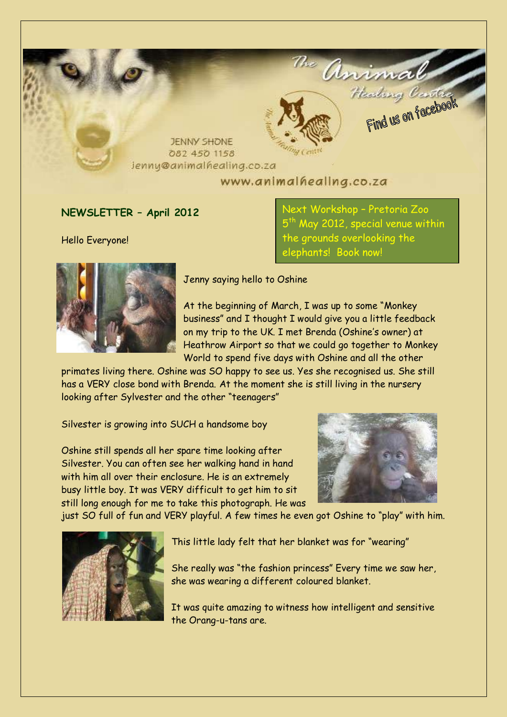

## **NEWSLETTER – April 2012**

Hello Everyone!

ext Workshop – Pretoria Zoo 5<sup>th</sup> May 2012, special venue within the grounds overlooking the elephants! Book now!



Jenny saying hello to Oshine

At the beginning of March, I was up to some "Monkey business" and I thought I would give you a little feedback on my trip to the UK. I met Brenda (Oshine's owner) at Heathrow Airport so that we could go together to Monkey World to spend five days with Oshine and all the other

primates living there. Oshine was SO happy to see us. Yes she recognised us. She still has a VERY close bond with Brenda. At the moment she is still living in the nursery looking after Sylvester and the other "teenagers"

Silvester is growing into SUCH a handsome boy

Oshine still spends all her spare time looking after Silvester. You can often see her walking hand in hand with him all over their enclosure. He is an extremely busy little boy. It was VERY difficult to get him to sit still long enough for me to take this photograph. He was



just SO full of fun and VERY playful. A few times he even got Oshine to "play" with him.



This little lady felt that her blanket was for "wearing"

She really was "the fashion princess" Every time we saw her, she was wearing a different coloured blanket.

It was quite amazing to witness how intelligent and sensitive the Orang-u-tans are.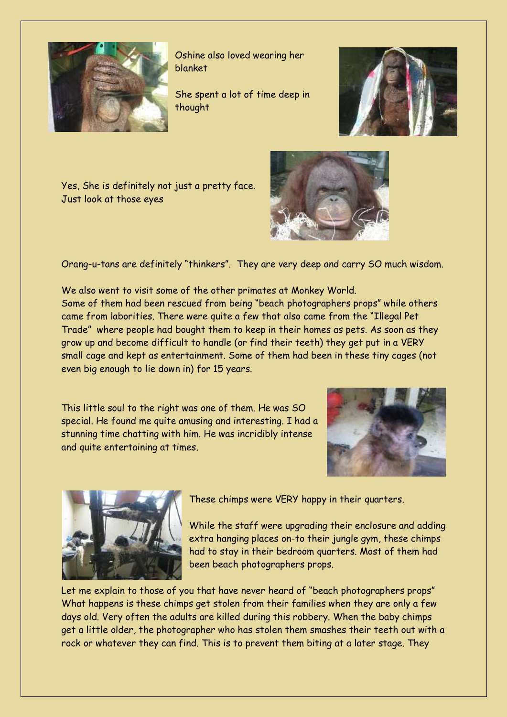

Oshine also loved wearing her blanket

She spent a lot of time deep in thought



Yes, She is definitely not just a pretty face. Just look at those eyes



Orang-u-tans are definitely "thinkers". They are very deep and carry SO much wisdom.

We also went to visit some of the other primates at Monkey World. Some of them had been rescued from being "beach photographers props" while others came from laborities. There were quite a few that also came from the "Illegal Pet Trade" where people had bought them to keep in their homes as pets. As soon as they grow up and become difficult to handle (or find their teeth) they get put in a VERY small cage and kept as entertainment. Some of them had been in these tiny cages (not even big enough to lie down in) for 15 years.

This little soul to the right was one of them. He was SO special. He found me quite amusing and interesting. I had a stunning time chatting with him. He was incridibly intense and quite entertaining at times.





These chimps were VERY happy in their quarters.

While the staff were upgrading their enclosure and adding extra hanging places on-to their jungle gym, these chimps had to stay in their bedroom quarters. Most of them had been beach photographers props.

Let me explain to those of you that have never heard of "beach photographers props" What happens is these chimps get stolen from their families when they are only a few days old. Very often the adults are killed during this robbery. When the baby chimps get a little older, the photographer who has stolen them smashes their teeth out with a rock or whatever they can find. This is to prevent them biting at a later stage. They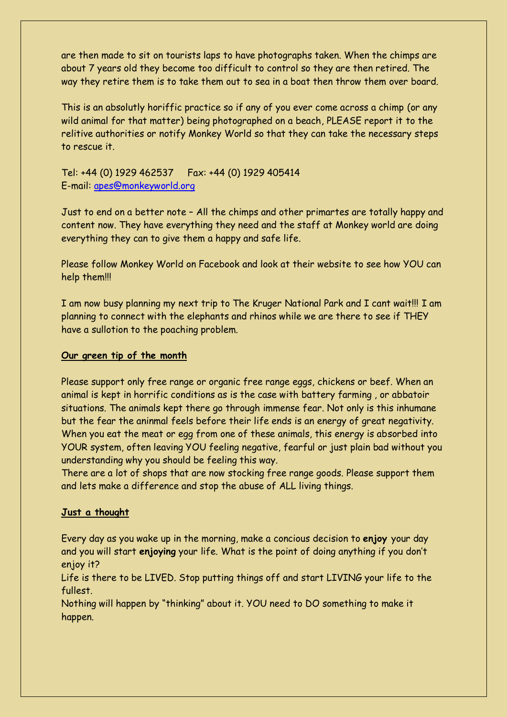are then made to sit on tourists laps to have photographs taken. When the chimps are about 7 years old they become too difficult to control so they are then retired. The way they retire them is to take them out to sea in a boat then throw them over board.

This is an absolutly horiffic practice so if any of you ever come across a chimp (or any wild animal for that matter) being photographed on a beach, PLEASE report it to the relitive authorities or notify Monkey World so that they can take the necessary steps to rescue it.

Tel: +44 (0) 1929 462537 Fax: +44 (0) 1929 405414 E-mail: [apes@monkeyworld.org](mailto:apes@monkeyworld.org)

Just to end on a better note – All the chimps and other primartes are totally happy and content now. They have everything they need and the staff at Monkey world are doing everything they can to give them a happy and safe life.

Please follow Monkey World on Facebook and look at their website to see how YOU can help them!!!

I am now busy planning my next trip to The Kruger National Park and I cant wait!!! I am planning to connect with the elephants and rhinos while we are there to see if THEY have a sullotion to the poaching problem.

## **Our green tip of the month**

Please support only free range or organic free range eggs, chickens or beef. When an animal is kept in horrific conditions as is the case with battery farming , or abbatoir situations. The animals kept there go through immense fear. Not only is this inhumane but the fear the aninmal feels before their life ends is an energy of great negativity. When you eat the meat or egg from one of these animals, this energy is absorbed into YOUR system, often leaving YOU feeling negative, fearful or just plain bad without you understanding why you should be feeling this way.

There are a lot of shops that are now stocking free range goods. Please support them and lets make a difference and stop the abuse of ALL living things.

### **Just a thought**

Every day as you wake up in the morning, make a concious decision to **enjoy** your day and you will start **enjoying** your life. What is the point of doing anything if you don't enjoy it?

Life is there to be LIVED. Stop putting things off and start LIVING your life to the fullest.

Nothing will happen by "thinking" about it. YOU need to DO something to make it happen.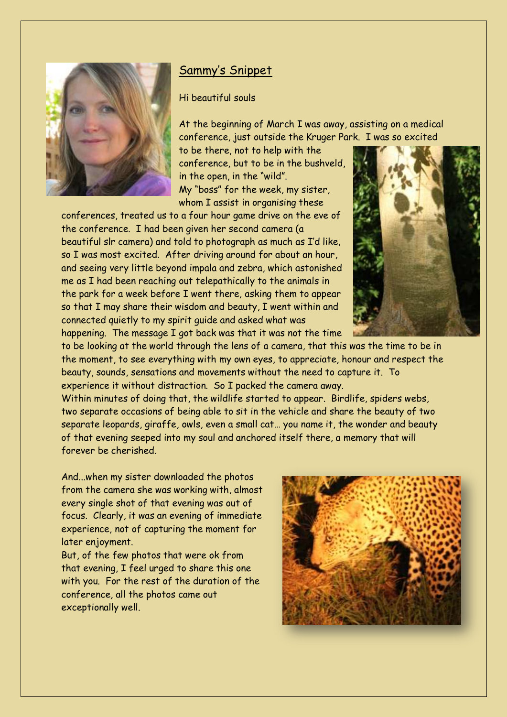

# Sammy's Snippet

Hi beautiful souls

At the beginning of March I was away, assisting on a medical conference, just outside the Kruger Park. I was so excited

to be there, not to help with the conference, but to be in the bushveld, in the open, in the "wild". My "boss" for the week, my sister, whom I assist in organising these

conferences, treated us to a four hour game drive on the eve of the conference. I had been given her second camera (a beautiful slr camera) and told to photograph as much as I'd like, so I was most excited. After driving around for about an hour, and seeing very little beyond impala and zebra, which astonished me as I had been reaching out telepathically to the animals in the park for a week before I went there, asking them to appear so that I may share their wisdom and beauty, I went within and connected quietly to my spirit guide and asked what was happening. The message I got back was that it was not the time



to be looking at the world through the lens of a camera, that this was the time to be in the moment, to see everything with my own eyes, to appreciate, honour and respect the beauty, sounds, sensations and movements without the need to capture it. To experience it without distraction. So I packed the camera away.

Within minutes of doing that, the wildlife started to appear. Birdlife, spiders webs, two separate occasions of being able to sit in the vehicle and share the beauty of two separate leopards, giraffe, owls, even a small cat… you name it, the wonder and beauty of that evening seeped into my soul and anchored itself there, a memory that will forever be cherished.

And...when my sister downloaded the photos from the camera she was working with, almost every single shot of that evening was out of focus. Clearly, it was an evening of immediate experience, not of capturing the moment for later enjoyment.

But, of the few photos that were ok from that evening, I feel urged to share this one with you. For the rest of the duration of the conference, all the photos came out exceptionally well.

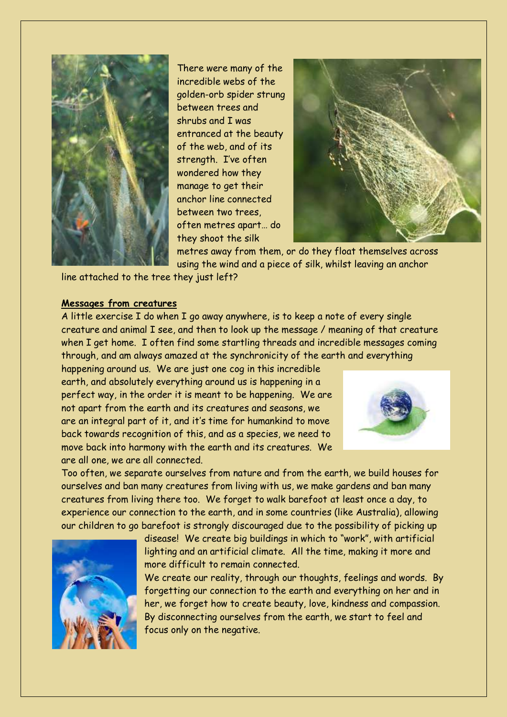

There were many of the incredible webs of the golden-orb spider strung between trees and shrubs and I was entranced at the beauty of the web, and of its strength. I've often wondered how they manage to get their anchor line connected between two trees, often metres apart… do they shoot the silk



metres away from them, or do they float themselves across using the wind and a piece of silk, whilst leaving an anchor

line attached to the tree they just left?

## **Messages from creatures**

A little exercise I do when I go away anywhere, is to keep a note of every single creature and animal I see, and then to look up the message / meaning of that creature when I get home. I often find some startling threads and incredible messages coming through, and am always amazed at the synchronicity of the earth and everything

happening around us. We are just one cog in this incredible earth, and absolutely everything around us is happening in a perfect way, in the order it is meant to be happening. We are not apart from the earth and its creatures and seasons, we are an integral part of it, and it's time for humankind to move back towards recognition of this, and as a species, we need to move back into harmony with the earth and its creatures. We are all one, we are all connected.



Too often, we separate ourselves from nature and from the earth, we build houses for ourselves and ban many creatures from living with us, we make gardens and ban many creatures from living there too. We forget to walk barefoot at least once a day, to experience our connection to the earth, and in some countries (like Australia), allowing our children to go barefoot is strongly discouraged due to the possibility of picking up



disease! We create big buildings in which to "work", with artificial lighting and an artificial climate. All the time, making it more and more difficult to remain connected.

We create our reality, through our thoughts, feelings and words. By forgetting our connection to the earth and everything on her and in her, we forget how to create beauty, love, kindness and compassion. By disconnecting ourselves from the earth, we start to feel and focus only on the negative.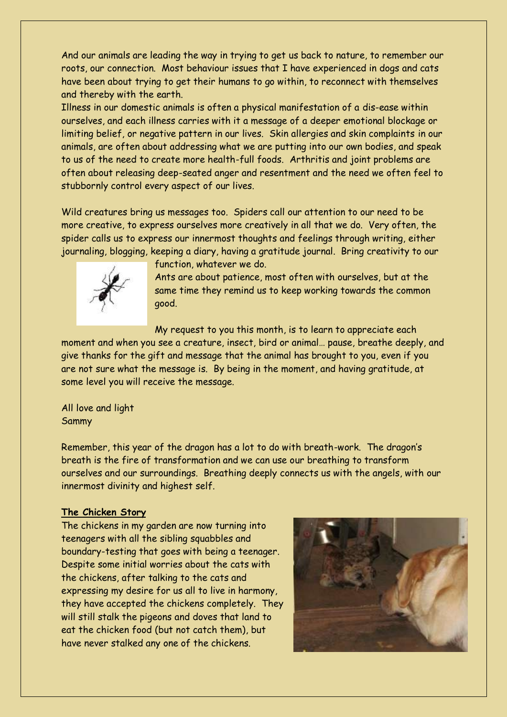And our animals are leading the way in trying to get us back to nature, to remember our roots, our connection. Most behaviour issues that I have experienced in dogs and cats have been about trying to get their humans to go within, to reconnect with themselves and thereby with the earth.

Illness in our domestic animals is often a physical manifestation of a dis-ease within ourselves, and each illness carries with it a message of a deeper emotional blockage or limiting belief, or negative pattern in our lives. Skin allergies and skin complaints in our animals, are often about addressing what we are putting into our own bodies, and speak to us of the need to create more health-full foods. Arthritis and joint problems are often about releasing deep-seated anger and resentment and the need we often feel to stubbornly control every aspect of our lives.

Wild creatures bring us messages too. Spiders call our attention to our need to be more creative, to express ourselves more creatively in all that we do. Very often, the spider calls us to express our innermost thoughts and feelings through writing, either journaling, blogging, keeping a diary, having a gratitude journal. Bring creativity to our



function, whatever we do.

Ants are about patience, most often with ourselves, but at the same time they remind us to keep working towards the common good.

My request to you this month, is to learn to appreciate each

moment and when you see a creature, insect, bird or animal… pause, breathe deeply, and give thanks for the gift and message that the animal has brought to you, even if you are not sure what the message is. By being in the moment, and having gratitude, at some level you will receive the message.

All love and light Sammy

Remember, this year of the dragon has a lot to do with breath-work. The dragon's breath is the fire of transformation and we can use our breathing to transform ourselves and our surroundings. Breathing deeply connects us with the angels, with our innermost divinity and highest self.

### **The Chicken Story**

The chickens in my garden are now turning into teenagers with all the sibling squabbles and boundary-testing that goes with being a teenager. Despite some initial worries about the cats with the chickens, after talking to the cats and expressing my desire for us all to live in harmony, they have accepted the chickens completely. They will still stalk the pigeons and doves that land to eat the chicken food (but not catch them), but have never stalked any one of the chickens.